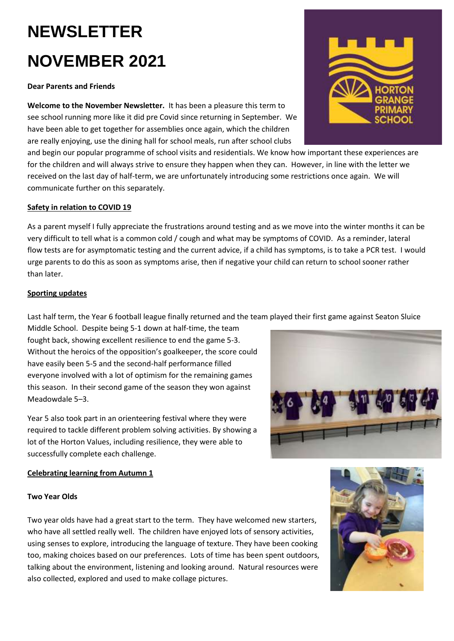# **NEWSLETTER NOVEMBER 2021**

# **Dear Parents and Friends**

**Welcome to the November Newsletter.** It has been a pleasure this term to see school running more like it did pre Covid since returning in September. We have been able to get together for assemblies once again, which the children are really enjoying, use the dining hall for school meals, run after school clubs

and begin our popular programme of school visits and residentials. We know how important these experiences are for the children and will always strive to ensure they happen when they can. However, in line with the letter we received on the last day of half-term, we are unfortunately introducing some restrictions once again. We will communicate further on this separately.

# **Safety in relation to COVID 19**

As a parent myself I fully appreciate the frustrations around testing and as we move into the winter months it can be very difficult to tell what is a common cold / cough and what may be symptoms of COVID. As a reminder, lateral flow tests are for asymptomatic testing and the current advice, if a child has symptoms, is to take a PCR test. I would urge parents to do this as soon as symptoms arise, then if negative your child can return to school sooner rather than later.

# **Sporting updates**

Last half term, the Year 6 football league finally returned and the team played their first game against Seaton Sluice

Middle School. Despite being 5-1 down at half-time, the team fought back, showing excellent resilience to end the game 5-3. Without the heroics of the opposition's goalkeeper, the score could have easily been 5-5 and the second-half performance filled everyone involved with a lot of optimism for the remaining games this season. In their second game of the season they won against Meadowdale 5–3.

Year 5 also took part in an orienteering festival where they were required to tackle different problem solving activities. By showing a lot of the Horton Values, including resilience, they were able to successfully complete each challenge.

# **Celebrating learning from Autumn 1**

# **Two Year Olds**

Two year olds have had a great start to the term. They have welcomed new starters, who have all settled really well. The children have enjoyed lots of sensory activities, using senses to explore, introducing the language of texture. They have been cooking too, making choices based on our preferences. Lots of time has been spent outdoors, talking about the environment, listening and looking around. Natural resources were also collected, explored and used to make collage pictures.





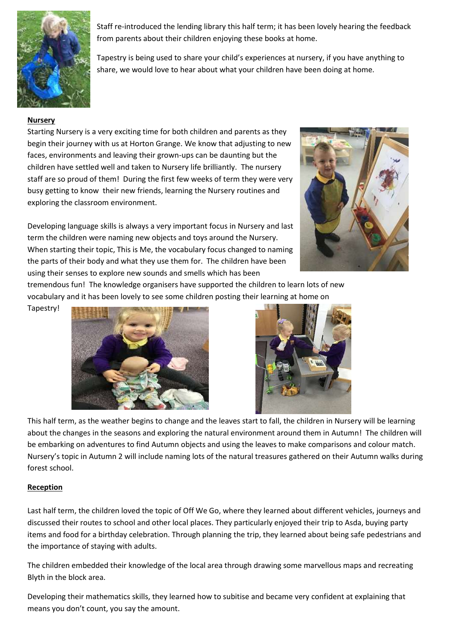

Staff re-introduced the lending library this half term; it has been lovely hearing the feedback from parents about their children enjoying these books at home.

Tapestry is being used to share your child's experiences at nursery, if you have anything to share, we would love to hear about what your children have been doing at home.

# **Nursery**

Starting Nursery is a very exciting time for both children and parents as they begin their journey with us at Horton Grange. We know that adjusting to new faces, environments and leaving their grown-ups can be daunting but the children have settled well and taken to Nursery life brilliantly. The nursery staff are so proud of them! During the first few weeks of term they were very busy getting to know their new friends, learning the Nursery routines and exploring the classroom environment.

Developing language skills is always a very important focus in Nursery and last term the children were naming new objects and toys around the Nursery. When starting their topic, This is Me, the vocabulary focus changed to naming the parts of their body and what they use them for. The children have been using their senses to explore new sounds and smells which has been



tremendous fun! The knowledge organisers have supported the children to learn lots of new vocabulary and it has been lovely to see some children posting their learning at home on

Tapestry!





This half term, as the weather begins to change and the leaves start to fall, the children in Nursery will be learning about the changes in the seasons and exploring the natural environment around them in Autumn! The children will be embarking on adventures to find Autumn objects and using the leaves to make comparisons and colour match. Nursery's topic in Autumn 2 will include naming lots of the natural treasures gathered on their Autumn walks during forest school.

# **Reception**

Last half term, the children loved the topic of Off We Go, where they learned about different vehicles, journeys and discussed their routes to school and other local places. They particularly enjoyed their trip to Asda, buying party items and food for a birthday celebration. Through planning the trip, they learned about being safe pedestrians and the importance of staying with adults.

The children embedded their knowledge of the local area through drawing some marvellous maps and recreating Blyth in the block area.

Developing their mathematics skills, they learned how to subitise and became very confident at explaining that means you don't count, you say the amount.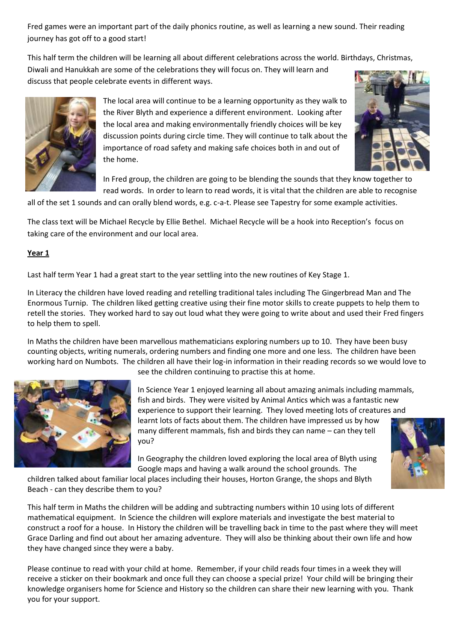Fred games were an important part of the daily phonics routine, as well as learning a new sound. Their reading journey has got off to a good start!

This half term the children will be learning all about different celebrations across the world. Birthdays, Christmas,

Diwali and Hanukkah are some of the celebrations they will focus on. They will learn and discuss that people celebrate events in different ways.



The local area will continue to be a learning opportunity as they walk to the River Blyth and experience a different environment. Looking after the local area and making environmentally friendly choices will be key discussion points during circle time. They will continue to talk about the importance of road safety and making safe choices both in and out of the home.



In Fred group, the children are going to be blending the sounds that they know together to read words. In order to learn to read words, it is vital that the children are able to recognise

all of the set 1 sounds and can orally blend words, e.g. c-a-t. Please see Tapestry for some example activities.

The class text will be Michael Recycle by Ellie Bethel. Michael Recycle will be a hook into Reception's focus on taking care of the environment and our local area.

#### **Year 1**

Last half term Year 1 had a great start to the year settling into the new routines of Key Stage 1.

In Literacy the children have loved reading and retelling traditional tales including The Gingerbread Man and The Enormous Turnip. The children liked getting creative using their fine motor skills to create puppets to help them to retell the stories. They worked hard to say out loud what they were going to write about and used their Fred fingers to help them to spell.

In Maths the children have been marvellous mathematicians exploring numbers up to 10. They have been busy counting objects, writing numerals, ordering numbers and finding one more and one less. The children have been working hard on Numbots. The children all have their log-in information in their reading records so we would love to



see the children continuing to practise this at home.

In Science Year 1 enjoyed learning all about amazing animals including mammals, fish and birds. They were visited by Animal Antics which was a fantastic new experience to support their learning. They loved meeting lots of creatures and learnt lots of facts about them. The children have impressed us by how many different mammals, fish and birds they can name – can they tell you?

In Geography the children loved exploring the local area of Blyth using Google maps and having a walk around the school grounds. The

children talked about familiar local places including their houses, Horton Grange, the shops and Blyth Beach - can they describe them to you?

This half term in Maths the children will be adding and subtracting numbers within 10 using lots of different mathematical equipment. In Science the children will explore materials and investigate the best material to construct a roof for a house. In History the children will be travelling back in time to the past where they will meet Grace Darling and find out about her amazing adventure. They will also be thinking about their own life and how they have changed since they were a baby.

Please continue to read with your child at home. Remember, if your child reads four times in a week they will receive a sticker on their bookmark and once full they can choose a special prize! Your child will be bringing their knowledge organisers home for Science and History so the children can share their new learning with you. Thank you for your support.

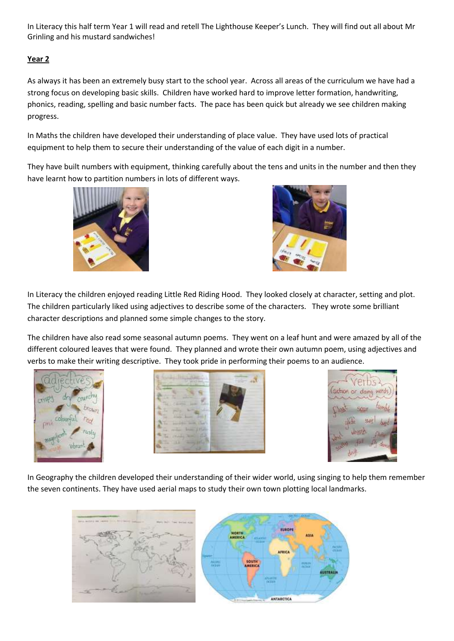In Literacy this half term Year 1 will read and retell The Lighthouse Keeper's Lunch. They will find out all about Mr Grinling and his mustard sandwiches!

# **Year 2**

As always it has been an extremely busy start to the school year. Across all areas of the curriculum we have had a strong focus on developing basic skills. Children have worked hard to improve letter formation, handwriting, phonics, reading, spelling and basic number facts. The pace has been quick but already we see children making progress.

In Maths the children have developed their understanding of place value. They have used lots of practical equipment to help them to secure their understanding of the value of each digit in a number.

They have built numbers with equipment, thinking carefully about the tens and units in the number and then they have learnt how to partition numbers in lots of different ways.





In Literacy the children enjoyed reading Little Red Riding Hood. They looked closely at character, setting and plot. The children particularly liked using adjectives to describe some of the characters. They wrote some brilliant character descriptions and planned some simple changes to the story.

The children have also read some seasonal autumn poems. They went on a leaf hunt and were amazed by all of the different coloured leaves that were found. They planned and wrote their own autumn poem, using adjectives and verbs to make their writing descriptive. They took pride in performing their poems to an audience.







In Geography the children developed their understanding of their wider world, using singing to help them remember the seven continents. They have used aerial maps to study their own town plotting local landmarks.

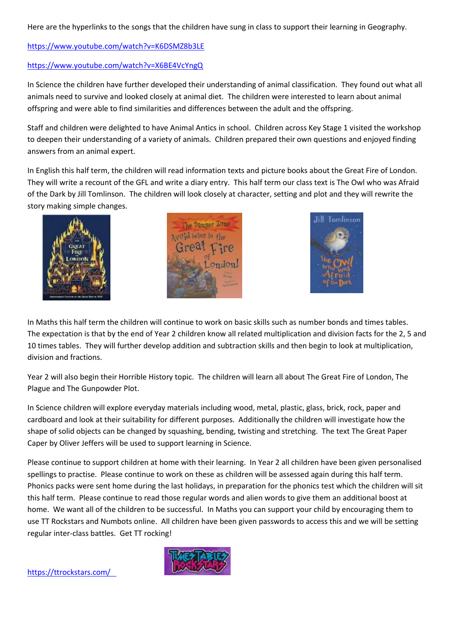Here are the hyperlinks to the songs that the children have sung in class to support their learning in Geography.

# <https://www.youtube.com/watch?v=K6DSMZ8b3LE>

#### <https://www.youtube.com/watch?v=X6BE4VcYngQ>

In Science the children have further developed their understanding of animal classification. They found out what all animals need to survive and looked closely at animal diet. The children were interested to learn about animal offspring and were able to find similarities and differences between the adult and the offspring.

Staff and children were delighted to have Animal Antics in school. Children across Key Stage 1 visited the workshop to deepen their understanding of a variety of animals. Children prepared their own questions and enjoyed finding answers from an animal expert.

In English this half term, the children will read information texts and picture books about the Great Fire of London. They will write a recount of the GFL and write a diary entry. This half term our class text is The Owl who was Afraid of the Dark by Jill Tomlinson. The children will look closely at character, setting and plot and they will rewrite the story making simple changes.







In Maths this half term the children will continue to work on basic skills such as number bonds and times tables. The expectation is that by the end of Year 2 children know all related multiplication and division facts for the 2, 5 and 10 times tables. They will further develop addition and subtraction skills and then begin to look at multiplication, division and fractions.

Year 2 will also begin their Horrible History topic. The children will learn all about The Great Fire of London, The Plague and The Gunpowder Plot.

In Science children will explore everyday materials including wood, metal, plastic, glass, brick, rock, paper and cardboard and look at their suitability for different purposes. Additionally the children will investigate how the shape of solid objects can be changed by squashing, bending, twisting and stretching. The text The Great Paper Caper by Oliver Jeffers will be used to support learning in Science.

Please continue to support children at home with their learning. In Year 2 all children have been given personalised spellings to practise. Please continue to work on these as children will be assessed again during this half term. Phonics packs were sent home during the last holidays, in preparation for the phonics test which the children will sit this half term. Please continue to read those regular words and alien words to give them an additional boost at home. We want all of the children to be successful. In Maths you can support your child by encouraging them to use TT Rockstars and Numbots online. All children have been given passwords to access this and we will be setting regular inter-class battles. Get TT rocking!



<https://ttrockstars.com/>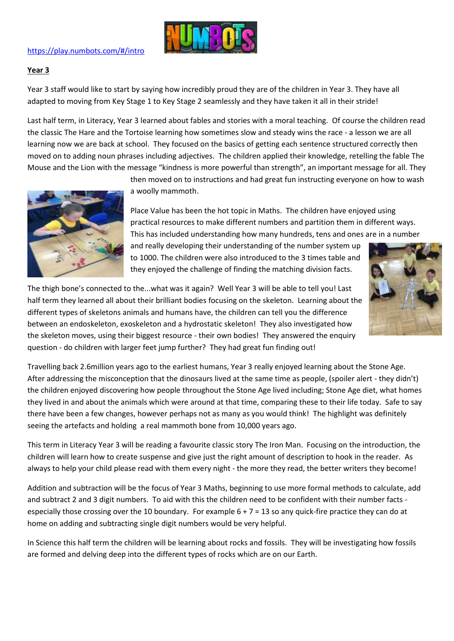

# <https://play.numbots.com/#/intro>

#### **Year 3**

Year 3 staff would like to start by saying how incredibly proud they are of the children in Year 3. They have all adapted to moving from Key Stage 1 to Key Stage 2 seamlessly and they have taken it all in their stride!

Last half term, in Literacy, Year 3 learned about fables and stories with a moral teaching. Of course the children read the classic The Hare and the Tortoise learning how sometimes slow and steady wins the race - a lesson we are all learning now we are back at school. They focused on the basics of getting each sentence structured correctly then moved on to adding noun phrases including adjectives. The children applied their knowledge, retelling the fable The Mouse and the Lion with the message "kindness is more powerful than strength", an important message for all. They



then moved on to instructions and had great fun instructing everyone on how to wash a woolly mammoth.

Place Value has been the hot topic in Maths. The children have enjoyed using practical resources to make different numbers and partition them in different ways. This has included understanding how many hundreds, tens and ones are in a number

and really developing their understanding of the number system up to 1000. The children were also introduced to the 3 times table and they enjoyed the challenge of finding the matching division facts.



The thigh bone's connected to the...what was it again? Well Year 3 will be able to tell you! Last half term they learned all about their brilliant bodies focusing on the skeleton. Learning about the different types of skeletons animals and humans have, the children can tell you the difference between an endoskeleton, exoskeleton and a hydrostatic skeleton! They also investigated how the skeleton moves, using their biggest resource - their own bodies! They answered the enquiry question - do children with larger feet jump further? They had great fun finding out!

Travelling back 2.6million years ago to the earliest humans, Year 3 really enjoyed learning about the Stone Age. After addressing the misconception that the dinosaurs lived at the same time as people, (spoiler alert - they didn't) the children enjoyed discovering how people throughout the Stone Age lived including; Stone Age diet, what homes they lived in and about the animals which were around at that time, comparing these to their life today. Safe to say there have been a few changes, however perhaps not as many as you would think! The highlight was definitely seeing the artefacts and holding a real mammoth bone from 10,000 years ago.

This term in Literacy Year 3 will be reading a favourite classic story The Iron Man. Focusing on the introduction, the children will learn how to create suspense and give just the right amount of description to hook in the reader. As always to help your child please read with them every night - the more they read, the better writers they become!

Addition and subtraction will be the focus of Year 3 Maths, beginning to use more formal methods to calculate, add and subtract 2 and 3 digit numbers. To aid with this the children need to be confident with their number facts especially those crossing over the 10 boundary. For example  $6 + 7 = 13$  so any quick-fire practice they can do at home on adding and subtracting single digit numbers would be very helpful.

In Science this half term the children will be learning about rocks and fossils. They will be investigating how fossils are formed and delving deep into the different types of rocks which are on our Earth.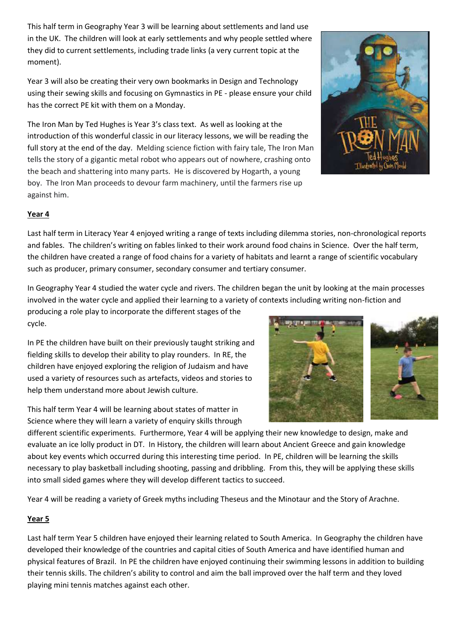This half term in Geography Year 3 will be learning about settlements and land use in the UK. The children will look at early settlements and why people settled where they did to current settlements, including trade links (a very current topic at the moment).

Year 3 will also be creating their very own bookmarks in Design and Technology using their sewing skills and focusing on Gymnastics in PE - please ensure your child has the correct PE kit with them on a Monday.

The Iron Man by Ted Hughes is Year 3's class text. As well as looking at the introduction of this wonderful classic in our literacy lessons, we will be reading the full story at the end of the day. Melding science fiction with fairy tale, The Iron Man tells the story of a gigantic metal robot who appears out of nowhere, crashing onto the beach and shattering into many parts. He is discovered by Hogarth, a young boy. The Iron Man proceeds to devour farm machinery, until the farmers rise up against him.

# **Year 4**

Last half term in Literacy Year 4 enjoyed writing a range of texts including dilemma stories, non-chronological reports and fables. The children's writing on fables linked to their work around food chains in Science. Over the half term, the children have created a range of food chains for a variety of habitats and learnt a range of scientific vocabulary such as producer, primary consumer, secondary consumer and tertiary consumer.

In Geography Year 4 studied the water cycle and rivers. The children began the unit by looking at the main processes involved in the water cycle and applied their learning to a variety of contexts including writing non-fiction and

producing a role play to incorporate the different stages of the cycle.

In PE the children have built on their previously taught striking and fielding skills to develop their ability to play rounders. In RE, the children have enjoyed exploring the religion of Judaism and have used a variety of resources such as artefacts, videos and stories to help them understand more about Jewish culture.

This half term Year 4 will be learning about states of matter in Science where they will learn a variety of enquiry skills through

different scientific experiments. Furthermore, Year 4 will be applying their new knowledge to design, make and evaluate an ice lolly product in DT. In History, the children will learn about Ancient Greece and gain knowledge about key events which occurred during this interesting time period. In PE, children will be learning the skills necessary to play basketball including shooting, passing and dribbling. From this, they will be applying these skills into small sided games where they will develop different tactics to succeed.

Year 4 will be reading a variety of Greek myths including Theseus and the Minotaur and the Story of Arachne.

# **Year 5**

Last half term Year 5 children have enjoyed their learning related to South America. In Geography the children have developed their knowledge of the countries and capital cities of South America and have identified human and physical features of Brazil. In PE the children have enjoyed continuing their swimming lessons in addition to building their tennis skills. The children's ability to control and aim the ball improved over the half term and they loved playing mini tennis matches against each other.



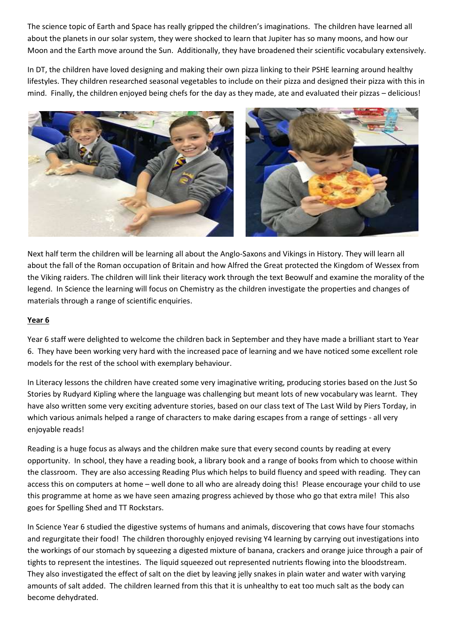The science topic of Earth and Space has really gripped the children's imaginations. The children have learned all about the planets in our solar system, they were shocked to learn that Jupiter has so many moons, and how our Moon and the Earth move around the Sun. Additionally, they have broadened their scientific vocabulary extensively.

In DT, the children have loved designing and making their own pizza linking to their PSHE learning around healthy lifestyles. They children researched seasonal vegetables to include on their pizza and designed their pizza with this in mind. Finally, the children enjoyed being chefs for the day as they made, ate and evaluated their pizzas – delicious!



Next half term the children will be learning all about the Anglo-Saxons and Vikings in History. They will learn all about the fall of the Roman occupation of Britain and how Alfred the Great protected the Kingdom of Wessex from the Viking raiders. The children will link their literacy work through the text Beowulf and examine the morality of the legend. In Science the learning will focus on Chemistry as the children investigate the properties and changes of materials through a range of scientific enquiries.

# **Year 6**

Year 6 staff were delighted to welcome the children back in September and they have made a brilliant start to Year 6. They have been working very hard with the increased pace of learning and we have noticed some excellent role models for the rest of the school with exemplary behaviour.

In Literacy lessons the children have created some very imaginative writing, producing stories based on the Just So Stories by Rudyard Kipling where the language was challenging but meant lots of new vocabulary was learnt. They have also written some very exciting adventure stories, based on our class text of The Last Wild by Piers Torday, in which various animals helped a range of characters to make daring escapes from a range of settings - all very enjoyable reads!

Reading is a huge focus as always and the children make sure that every second counts by reading at every opportunity. In school, they have a reading book, a library book and a range of books from which to choose within the classroom. They are also accessing Reading Plus which helps to build fluency and speed with reading. They can access this on computers at home – well done to all who are already doing this! Please encourage your child to use this programme at home as we have seen amazing progress achieved by those who go that extra mile! This also goes for Spelling Shed and TT Rockstars.

In Science Year 6 studied the digestive systems of humans and animals, discovering that cows have four stomachs and regurgitate their food! The children thoroughly enjoyed revising Y4 learning by carrying out investigations into the workings of our stomach by squeezing a digested mixture of banana, crackers and orange juice through a pair of tights to represent the intestines. The liquid squeezed out represented nutrients flowing into the bloodstream. They also investigated the effect of salt on the diet by leaving jelly snakes in plain water and water with varying amounts of salt added. The children learned from this that it is unhealthy to eat too much salt as the body can become dehydrated.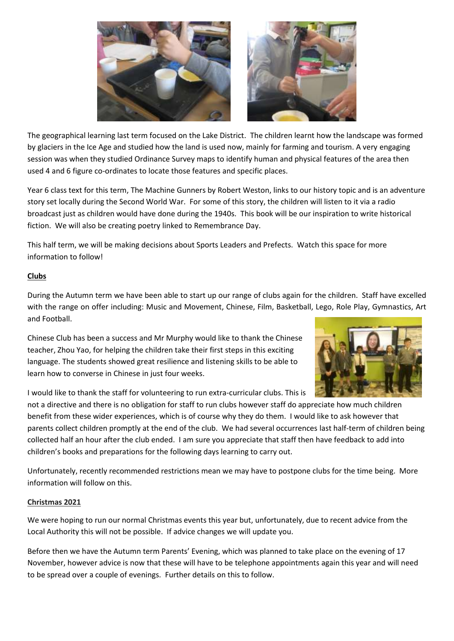

The geographical learning last term focused on the Lake District. The children learnt how the landscape was formed by glaciers in the Ice Age and studied how the land is used now, mainly for farming and tourism. A very engaging session was when they studied Ordinance Survey maps to identify human and physical features of the area then used 4 and 6 figure co-ordinates to locate those features and specific places.

Year 6 class text for this term, The Machine Gunners by Robert Weston, links to our history topic and is an adventure story set locally during the Second World War. For some of this story, the children will listen to it via a radio broadcast just as children would have done during the 1940s. This book will be our inspiration to write historical fiction. We will also be creating poetry linked to Remembrance Day.

This half term, we will be making decisions about Sports Leaders and Prefects. Watch this space for more information to follow!

# **Clubs**

During the Autumn term we have been able to start up our range of clubs again for the children. Staff have excelled with the range on offer including: Music and Movement, Chinese, Film, Basketball, Lego, Role Play, Gymnastics, Art and Football.

Chinese Club has been a success and Mr Murphy would like to thank the Chinese teacher, Zhou Yao, for helping the children take their first steps in this exciting language. The students showed great resilience and listening skills to be able to learn how to converse in Chinese in just four weeks.



I would like to thank the staff for volunteering to run extra-curricular clubs. This is

not a directive and there is no obligation for staff to run clubs however staff do appreciate how much children benefit from these wider experiences, which is of course why they do them. I would like to ask however that parents collect children promptly at the end of the club. We had several occurrences last half-term of children being collected half an hour after the club ended. I am sure you appreciate that staff then have feedback to add into children's books and preparations for the following days learning to carry out.

Unfortunately, recently recommended restrictions mean we may have to postpone clubs for the time being. More information will follow on this.

#### **Christmas 2021**

We were hoping to run our normal Christmas events this year but, unfortunately, due to recent advice from the Local Authority this will not be possible. If advice changes we will update you.

Before then we have the Autumn term Parents' Evening, which was planned to take place on the evening of 17 November, however advice is now that these will have to be telephone appointments again this year and will need to be spread over a couple of evenings. Further details on this to follow.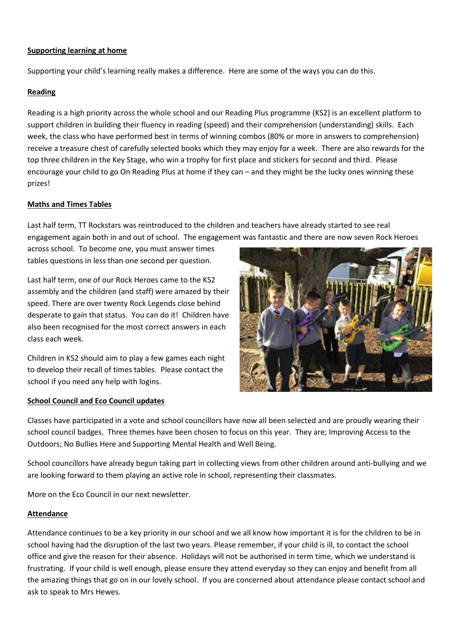## **Supporting learning at home**

Supporting your child's learning really makes a difference. Here are some of the ways you can do this.

#### **Reading**

Reading is a high priority across the whole school and our Reading Plus programme (KS2) is an excellent platform to support children in building their fluency in reading (speed) and their comprehension (understanding) skills. Each week, the class who have performed best in terms of winning combos (80% or more in answers to comprehension) receive a treasure chest of carefully selected books which they may enjoy for a week. There are also rewards for the top three children in the Key Stage, who win a trophy for first place and stickers for second and third. Please encourage your child to go On Reading Plus at home if they can – and they might be the lucky ones winning these prizes!

#### **Maths and Times Tables**

Last half term, TT Rockstars was reintroduced to the children and teachers have already started to see real engagement again both in and out of school. The engagement was fantastic and there are now seven Rock Heroes

across school. To become one, you must answer times tables questions in less than one second per question.

Last half term, one of our Rock Heroes came to the KS2 assembly and the children (and staff) were amazed by their speed. There are over twenty Rock Legends close behind desperate to gain that status. You can do it! Children have also been recognised for the most correct answers in each class each week.

Children in KS2 should aim to play a few games each night to develop their recall of times tables. Please contact the school if you need any help with logins.

#### **School Council and Eco Council updates**



Classes have participated in a vote and school councillors have now all been selected and are proudly wearing their school council badges. Three themes have been chosen to focus on this year. They are; Improving Access to the Outdoors; No Bullies Here and Supporting Mental Health and Well Being.

School councillors have already begun taking part in collecting views from other children around anti-bullying and we are looking forward to them playing an active role in school, representing their classmates.

More on the Eco Council in our next newsletter.

#### **Attendance**

Attendance continues to be a key priority in our school and we all know how important it is for the children to be in school having had the disruption of the last two years. Please remember, if your child is ill, to contact the school office and give the reason for their absence. Holidays will not be authorised in term time, which we understand is frustrating. If your child is well enough, please ensure they attend everyday so they can enjoy and benefit from all the amazing things that go on in our lovely school. If you are concerned about attendance please contact school and ask to speak to Mrs Hewes.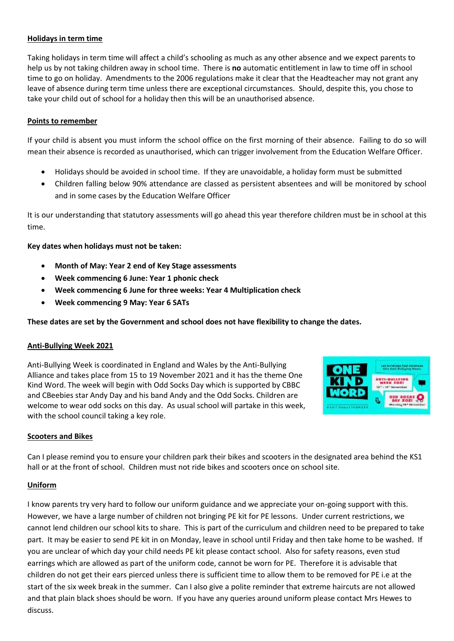## **Holidays in term time**

Taking holidays in term time will affect a child's schooling as much as any other absence and we expect parents to help us by not taking children away in school time. There is **no** automatic entitlement in law to time off in school time to go on holiday. [Amendments](http://www.legislation.gov.uk/uksi/2013/756/contents/made) to the 2006 regulations make it clear that the Headteacher may not grant any leave of absence during term time unless there are exceptional circumstances. Should, despite this, you chose to take your child out of school for a holiday then this will be an unauthorised absence.

#### **Points to remember**

If your child is absent you must inform the school office on the first morning of their absence. Failing to do so will mean their absence is recorded as unauthorised, which can trigger involvement from the Education Welfare Officer.

- Holidays should be avoided in school time. If they are unavoidable, a holiday form must be submitted
- Children falling below 90% attendance are classed as persistent absentees and will be monitored by school and in some cases by the Education Welfare Officer

It is our understanding that statutory assessments will go ahead this year therefore children must be in school at this time.

**Key dates when holidays must not be taken:**

- **Month of May: Year 2 end of Key Stage assessments**
- **Week commencing 6 June: Year 1 phonic check**
- **Week commencing 6 June for three weeks: Year 4 Multiplication check**
- **Week commencing 9 May: Year 6 SATs**

**These dates are set by the Government and school does not have flexibility to change the dates.** 

#### **Anti-Bullying Week 2021**

Anti-Bullying Week is coordinated in England and Wales by the Anti-Bullying Alliance and takes place from 15 to 19 November 2021 and it has the theme One Kind Word. The week will begin with Odd Socks Day which is supported by CBBC and CBeebies star Andy Day and his band Andy and the Odd Socks. Children are welcome to wear odd socks on this day. As usual school will partake in this week, with the school council taking a key role.



#### **Scooters and Bikes**

Can I please remind you to ensure your children park their bikes and scooters in the designated area behind the KS1 hall or at the front of school. Children must not ride bikes and scooters once on school site.

#### **Uniform**

I know parents try very hard to follow our uniform guidance and we appreciate your on-going support with this. However, we have a large number of children not bringing PE kit for PE lessons. Under current restrictions, we cannot lend children our school kits to share. This is part of the curriculum and children need to be prepared to take part. It may be easier to send PE kit in on Monday, leave in school until Friday and then take home to be washed. If you are unclear of which day your child needs PE kit please contact school. Also for safety reasons, even stud earrings which are allowed as part of the uniform code, cannot be worn for PE. Therefore it is advisable that children do not get their ears pierced unless there is sufficient time to allow them to be removed for PE i.e at the start of the six week break in the summer. Can I also give a polite reminder that extreme haircuts are not allowed and that plain black shoes should be worn. If you have any queries around uniform please contact Mrs Hewes to discuss.